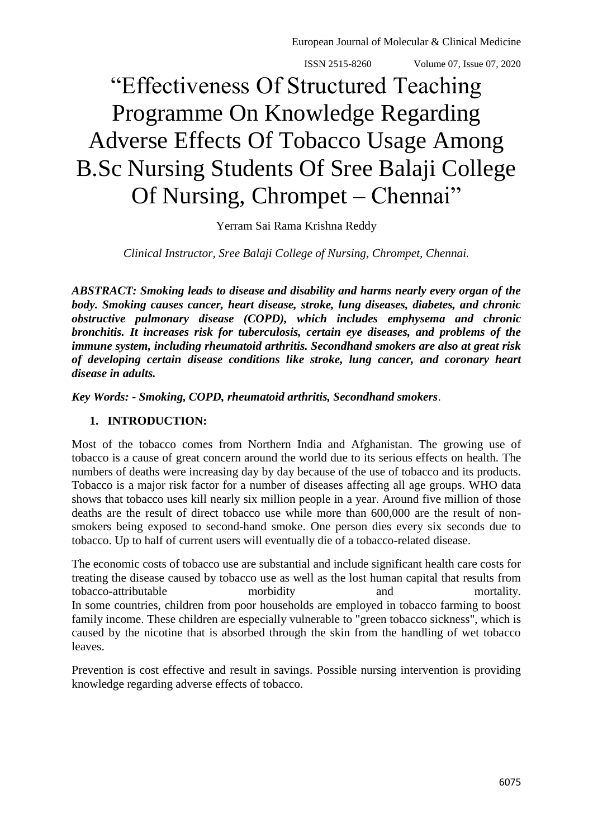European Journal of Molecular & Clinical Medicine

ISSN 2515-8260 Volume 07, Issue 07, 2020

# "Effectiveness Of Structured Teaching Programme On Knowledge Regarding Adverse Effects Of Tobacco Usage Among B.Sc Nursing Students Of Sree Balaji College Of Nursing, Chrompet – Chennai"

Yerram Sai Rama Krishna Reddy

*Clinical Instructor, Sree Balaji College of Nursing, Chrompet, Chennai.*

*ABSTRACT: Smoking leads to disease and disability and harms nearly every organ of the body. Smoking causes cancer, heart disease, stroke, lung diseases, diabetes, and chronic obstructive pulmonary disease (COPD), which includes emphysema and chronic bronchitis. It increases risk for tuberculosis, certain eye diseases, and problems of the immune system, including rheumatoid arthritis. Secondhand smokers are also at great risk of developing certain disease conditions like stroke, lung cancer, and coronary heart disease in adults.* 

*Key Words: - Smoking, COPD, rheumatoid arthritis, Secondhand smokers*.

# **1. INTRODUCTION:**

Most of the tobacco comes from Northern India and Afghanistan. The growing use of tobacco is a cause of great concern around the world due to its serious effects on health. The numbers of deaths were increasing day by day because of the use of tobacco and its products. Tobacco is a major risk factor for a number of diseases affecting all age groups. WHO data shows that tobacco uses kill nearly six million people in a year. Around five million of those deaths are the result of direct tobacco use while more than 600,000 are the result of nonsmokers being exposed to second-hand smoke. One person dies every six seconds due to tobacco. Up to half of current users will eventually die of a tobacco-related disease.

The economic costs of tobacco use are substantial and include significant health care costs for treating the disease caused by tobacco use as well as the lost human capital that results from tobacco-attributable morbidity and mortality. In some countries, children from poor households are employed in tobacco farming to boost family income. These children are especially vulnerable to "green tobacco sickness", which is caused by the nicotine that is absorbed through the skin from the handling of wet tobacco leaves.

Prevention is cost effective and result in savings. Possible nursing intervention is providing knowledge regarding adverse effects of tobacco.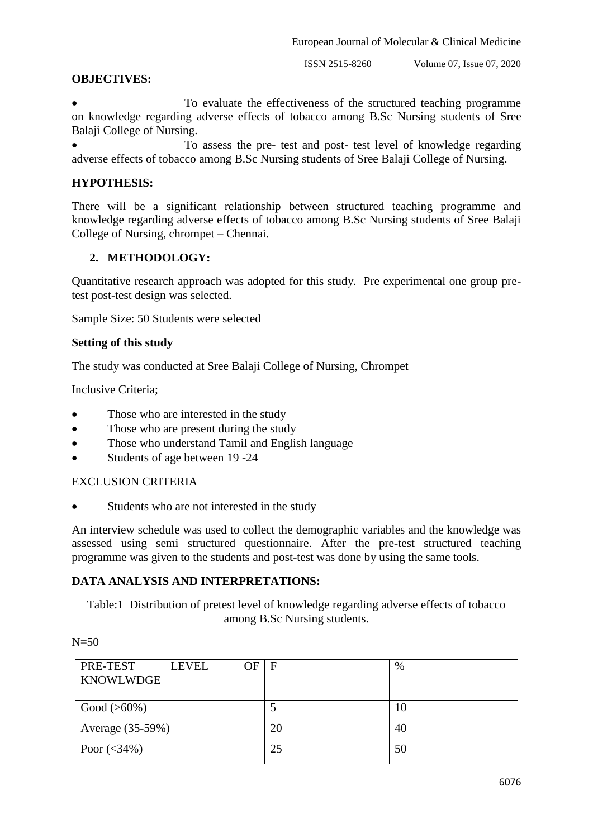ISSN 2515-8260 Volume 07, Issue 07, 2020

## **OBJECTIVES:**

 To evaluate the effectiveness of the structured teaching programme on knowledge regarding adverse effects of tobacco among B.Sc Nursing students of Sree Balaji College of Nursing.

 To assess the pre- test and post- test level of knowledge regarding adverse effects of tobacco among B.Sc Nursing students of Sree Balaji College of Nursing.

## **HYPOTHESIS:**

There will be a significant relationship between structured teaching programme and knowledge regarding adverse effects of tobacco among B.Sc Nursing students of Sree Balaji College of Nursing, chrompet – Chennai.

## **2. METHODOLOGY:**

Quantitative research approach was adopted for this study. Pre experimental one group pretest post-test design was selected.

Sample Size: 50 Students were selected

#### **Setting of this study**

The study was conducted at Sree Balaji College of Nursing, Chrompet

Inclusive Criteria;

- Those who are interested in the study
- Those who are present during the study
- Those who understand Tamil and English language
- Students of age between 19 -24

#### EXCLUSION CRITERIA

Students who are not interested in the study

An interview schedule was used to collect the demographic variables and the knowledge was assessed using semi structured questionnaire. After the pre-test structured teaching programme was given to the students and post-test was done by using the same tools.

#### **DATA ANALYSIS AND INTERPRETATIONS:**

Table:1 Distribution of pretest level of knowledge regarding adverse effects of tobacco among B.Sc Nursing students.

 $N=50$ 

| PRE-TEST         | OF F<br><b>LEVEL</b> |    | $\%$ |
|------------------|----------------------|----|------|
| <b>KNOWLWDGE</b> |                      |    |      |
|                  |                      |    |      |
| $Good (>60\%)$   |                      |    | 10   |
| Average (35-59%) |                      | 20 | 40   |
| Poor $(<34\%)$   |                      | 25 | 50   |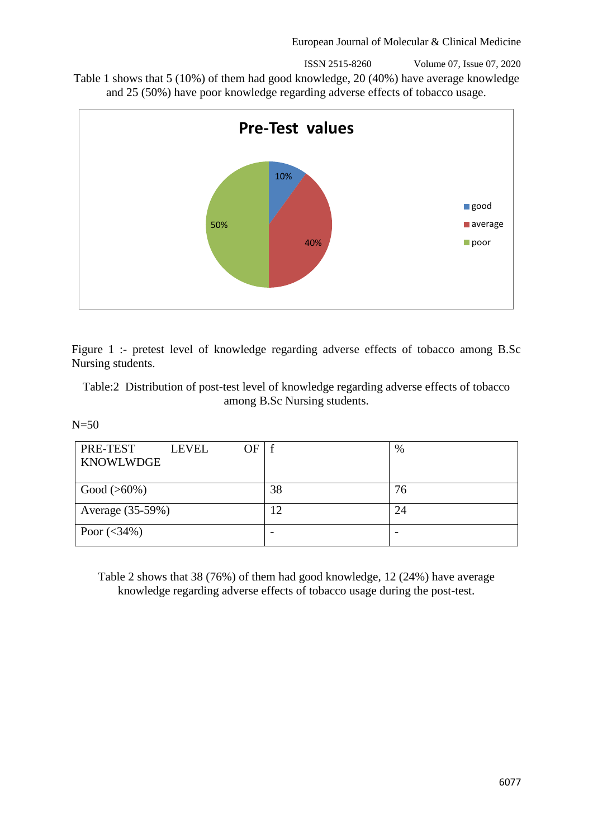ISSN 2515-8260 Volume 07, Issue 07, 2020

Table 1 shows that 5 (10%) of them had good knowledge, 20 (40%) have average knowledge and 25 (50%) have poor knowledge regarding adverse effects of tobacco usage.



Figure 1 :- pretest level of knowledge regarding adverse effects of tobacco among B.Sc Nursing students.

Table:2 Distribution of post-test level of knowledge regarding adverse effects of tobacco among B.Sc Nursing students.

 $N=50$ 

| PRE-TEST<br>OF<br><b>LEVEL</b><br><b>KNOWLWDGE</b> | . f            | $\%$ |
|----------------------------------------------------|----------------|------|
| $Good (>60\%)$                                     | 38             | 76   |
| Average (35-59%)                                   | $\overline{2}$ |      |
| Poor $(<34\%)$                                     |                |      |

Table 2 shows that 38 (76%) of them had good knowledge, 12 (24%) have average knowledge regarding adverse effects of tobacco usage during the post-test.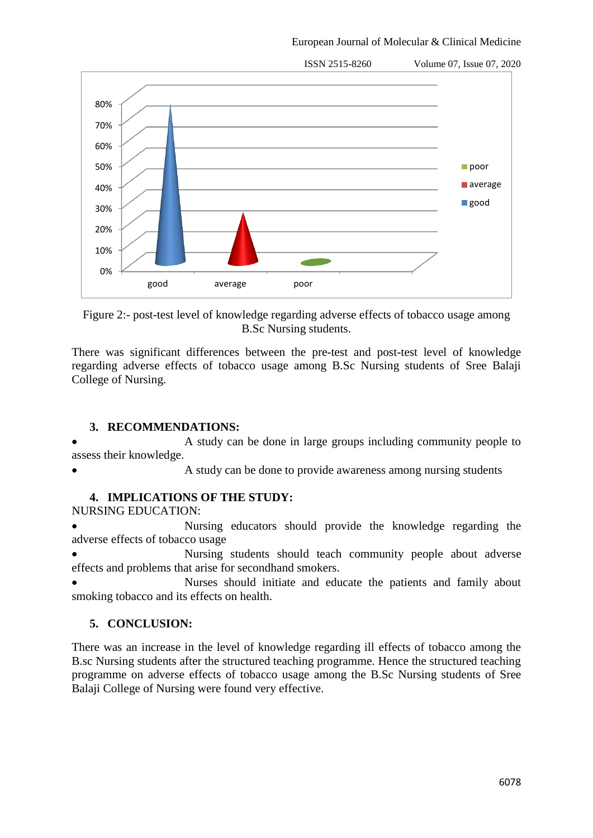European Journal of Molecular & Clinical Medicine



Figure 2:- post-test level of knowledge regarding adverse effects of tobacco usage among B.Sc Nursing students.

There was significant differences between the pre-test and post-test level of knowledge regarding adverse effects of tobacco usage among B.Sc Nursing students of Sree Balaji College of Nursing.

# **3. RECOMMENDATIONS:**

 A study can be done in large groups including community people to assess their knowledge.

A study can be done to provide awareness among nursing students

# **4. IMPLICATIONS OF THE STUDY:**

NURSING EDUCATION:

 Nursing educators should provide the knowledge regarding the adverse effects of tobacco usage

 Nursing students should teach community people about adverse effects and problems that arise for secondhand smokers.

 Nurses should initiate and educate the patients and family about smoking tobacco and its effects on health.

# **5. CONCLUSION:**

There was an increase in the level of knowledge regarding ill effects of tobacco among the B.sc Nursing students after the structured teaching programme. Hence the structured teaching programme on adverse effects of tobacco usage among the B.Sc Nursing students of Sree Balaji College of Nursing were found very effective.